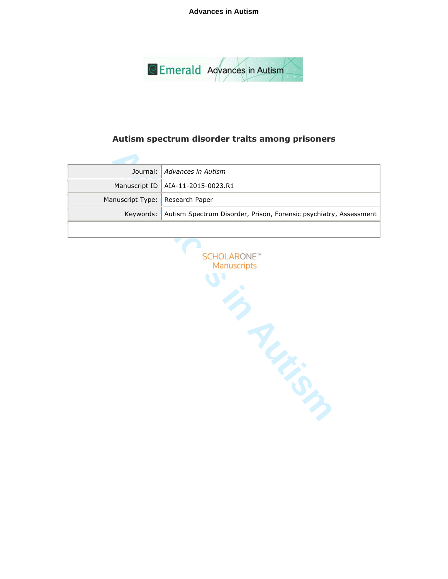**Advances in Autism**



# **Autism spectrum disorder traits among prisoners**

|                                   | Journal: Advances in Autism                                                   |
|-----------------------------------|-------------------------------------------------------------------------------|
|                                   | Manuscript ID   AIA-11-2015-0023.R1                                           |
| Manuscript Type:   Research Paper |                                                                               |
|                                   | Keywords:   Autism Spectrum Disorder, Prison, Forensic psychiatry, Assessment |
|                                   |                                                                               |

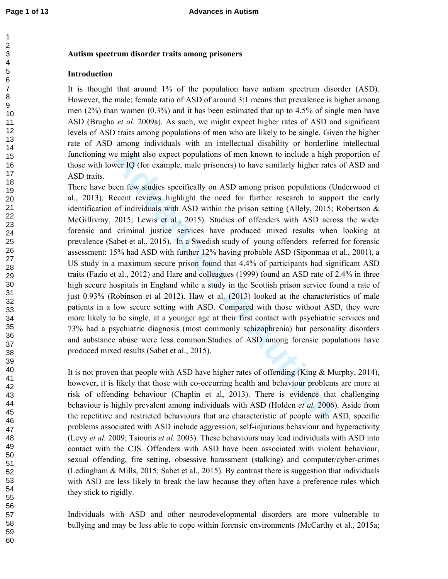59 60

## **Autism spectrum disorder traits among prisoners**

#### **Introduction**

It is thought that around 1% of the population have autism spectrum disorder (ASD). However, the male: female ratio of ASD of around 3:1 means that prevalence is higher among men (2%) than women (0.3%) and it has been estimated that up to 4.5% of single men have ASD (Brugha *et al.* 2009a). As such, we might expect higher rates of ASD and significant levels of ASD traits among populations of men who are likely to be single. Given the higher rate of ASD among individuals with an intellectual disability or borderline intellectual functioning we might also expect populations of men known to include a high proportion of those with lower IQ (for example, male prisoners) to have similarly higher rates of ASD and ASD traits.

ive might also expect populations of men known to include a high<br>wer IQ (for example, male prisoners) to have similarly higher rate<br>een few studies specifically on ASD among prison populations (t<br>eccent reviews highlight t There have been few studies specifically on ASD among prison populations (Underwood et al., 2013). Recent reviews highlight the need for further research to support the early identification of individuals with ASD within the prison setting (Allely, 2015; Robertson & McGillivray, 2015; Lewis et al., 2015). Studies of offenders with ASD across the wider forensic and criminal justice services have produced mixed results when looking at prevalence (Sabet et al., 2015). In a Swedish study of young offenders referred for forensic assessment: 15% had ASD with further 12% having probable ASD (Siponmaa et al., 2001), a US study in a maximum secure prison found that 4.4% of participants had significant ASD traits (Fazio et al., 2012) and Hare and colleagues (1999) found an ASD rate of 2.4% in three high secure hospitals in England while a study in the Scottish prison service found a rate of just 0.93% (Robinson et al 2012). Haw et al. (2013) looked at the characteristics of male patients in a low secure setting with ASD. Compared with those without ASD, they were more likely to be single, at a younger age at their first contact with psychiatric services and 73% had a psychiatric diagnosis (most commonly schizophrenia) but personality disorders and substance abuse were less common.Studies of ASD among forensic populations have produced mixed results (Sabet et al., 2015).

It is not proven that people with ASD have higher rates of offending (King & Murphy, 2014), however, it is likely that those with co-occurring health and behaviour problems are more at risk of offending behaviour (Chaplin et al, 2013). There is evidence that challenging behaviour is highly prevalent among individuals with ASD (Holden *et al.* 2006). Aside from the repetitive and restricted behaviours that are characteristic of people with ASD, specific problems associated with ASD include aggression, self-injurious behaviour and hyperactivity (Levy *et al.* 2009; Tsiouris *et al.* 2003). These behaviours may lead individuals with ASD into contact with the CJS. Offenders with ASD have been associated with violent behaviour, sexual offending, fire setting, obsessive harassment (stalking) and computer/cyber-crimes (Ledingham & Mills, 2015; Sabet et al., 2015). By contrast there is suggestion that individuals with ASD are less likely to break the law because they often have a preference rules which they stick to rigidly.

Individuals with ASD and other neurodevelopmental disorders are more vulnerable to bullying and may be less able to cope within forensic environments (McCarthy et al., 2015a;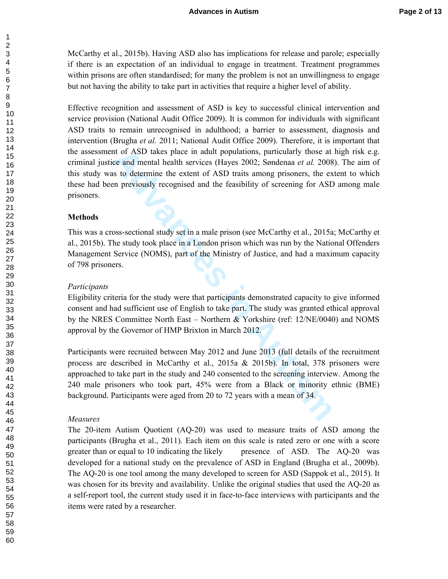McCarthy et al., 2015b). Having ASD also has implications for release and parole; especially if there is an expectation of an individual to engage in treatment. Treatment programmes within prisons are often standardised; for many the problem is not an unwillingness to engage but not having the ability to take part in activities that require a higher level of ability.

nt of ASD takes place in adult populations, particularly those at<br>ce and mental health services (Hayes 2002; Sondenaa *et al.* 2008<br>as to determine the extent of ASD traits among prisoners, the ex<br>en previously recognised Effective recognition and assessment of ASD is key to successful clinical intervention and service provision (National Audit Office 2009). It is common for individuals with significant ASD traits to remain unrecognised in adulthood; a barrier to assessment, diagnosis and intervention (Brugha *et al.* 2011; National Audit Office 2009). Therefore, it is important that the assessment of ASD takes place in adult populations, particularly those at high risk e.g. criminal justice and mental health services (Hayes 2002; Søndenaa *et al.* 2008). The aim of this study was to determine the extent of ASD traits among prisoners, the extent to which these had been previously recognised and the feasibility of screening for ASD among male prisoners.

### **Methods**

This was a cross-sectional study set in a male prison (see McCarthy et al., 2015a; McCarthy et al., 2015b). The study took place in a London prison which was run by the National Offenders Management Service (NOMS), part of the Ministry of Justice, and had a maximum capacity of 798 prisoners.

### *Participants*

Eligibility criteria for the study were that participants demonstrated capacity to give informed consent and had sufficient use of English to take part. The study was granted ethical approval by the NRES Committee North East – Northern & Yorkshire (ref: 12/NE/0040) and NOMS approval by the Governor of HMP Brixton in March 2012.

Participants were recruited between May 2012 and June 2013 (full details of the recruitment process are described in McCarthy et al., 2015a & 2015b). In total, 378 prisoners were approached to take part in the study and 240 consented to the screening interview. Among the 240 male prisoners who took part, 45% were from a Black or minority ethnic (BME) background. Participants were aged from 20 to 72 years with a mean of 34.

#### *Measures*

The 20-item Autism Quotient (AQ-20) was used to measure traits of ASD among the participants (Brugha et al., 2011). Each item on this scale is rated zero or one with a score greater than or equal to 10 indicating the likely presence of ASD. The AQ-20 was developed for a national study on the prevalence of ASD in England (Brugha et al., 2009b). The AQ-20 is one tool among the many developed to screen for ASD (Sappok et al., 2015). It was chosen for its brevity and availability. Unlike the original studies that used the AO-20 as a self-report tool, the current study used it in face-to-face interviews with participants and the items were rated by a researcher.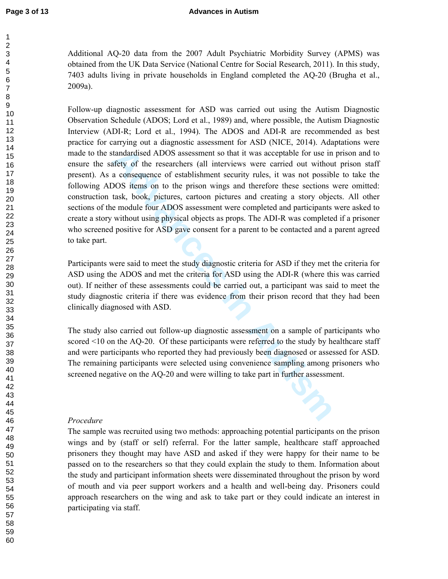### **Page 3 of 13 Advances in Autism**

Additional AQ-20 data from the 2007 Adult Psychiatric Morbidity Survey (APMS) was obtained from the UK Data Service (National Centre for Social Research, 2011). In this study, 7403 adults living in private households in England completed the AQ-20 (Brugha et al., 2009a).

tandardised ADOS assessment so that it was acceptable for use in<br>fiety of the researchers (all interviews were carried out withou<br>a consequence of establishment security rules, it was not possib<br>OOS items on to the prison Follow-up diagnostic assessment for ASD was carried out using the Autism Diagnostic Observation Schedule (ADOS; Lord et al., 1989) and, where possible, the Autism Diagnostic Interview (ADI-R; Lord et al., 1994). The ADOS and ADI-R are recommended as best practice for carrying out a diagnostic assessment for ASD (NICE, 2014). Adaptations were made to the standardised ADOS assessment so that it was acceptable for use in prison and to ensure the safety of the researchers (all interviews were carried out without prison staff present). As a consequence of establishment security rules, it was not possible to take the following ADOS items on to the prison wings and therefore these sections were omitted: construction task, book, pictures, cartoon pictures and creating a story objects. All other sections of the module four ADOS assessment were completed and participants were asked to create a story without using physical objects as props. The ADI-R was completed if a prisoner who screened positive for ASD gave consent for a parent to be contacted and a parent agreed to take part.

Participants were said to meet the study diagnostic criteria for ASD if they met the criteria for ASD using the ADOS and met the criteria for ASD using the ADI-R (where this was carried out). If neither of these assessments could be carried out, a participant was said to meet the study diagnostic criteria if there was evidence from their prison record that they had been clinically diagnosed with ASD.

The study also carried out follow-up diagnostic assessment on a sample of participants who scored <10 on the AQ-20. Of these participants were referred to the study by healthcare staff and were participants who reported they had previously been diagnosed or assessed for ASD. The remaining participants were selected using convenience sampling among prisoners who screened negative on the AQ-20 and were willing to take part in further assessment.

#### *Procedure*

The sample was recruited using two methods: approaching potential participants on the prison wings and by (staff or self) referral. For the latter sample, healthcare staff approached prisoners they thought may have ASD and asked if they were happy for their name to be passed on to the researchers so that they could explain the study to them. Information about the study and participant information sheets were disseminated throughout the prison by word of mouth and via peer support workers and a health and well-being day. Prisoners could approach researchers on the wing and ask to take part or they could indicate an interest in participating via staff.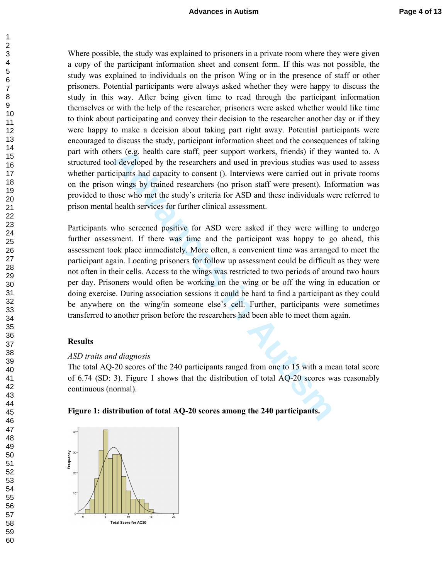#### **Advances in Autism Page 4 of 13**

Where possible, the study was explained to prisoners in a private room where they were given a copy of the participant information sheet and consent form. If this was not possible, the study was explained to individuals on the prison Wing or in the presence of staff or other prisoners. Potential participants were always asked whether they were happy to discuss the study in this way. After being given time to read through the participant information themselves or with the help of the researcher, prisoners were asked whether would like time to think about participating and convey their decision to the researcher another day or if they were happy to make a decision about taking part right away. Potential participants were encouraged to discuss the study, participant information sheet and the consequences of taking part with others (e.g. health care staff, peer support workers, friends) if they wanted to. A structured tool developed by the researchers and used in previous studies was used to assess whether participants had capacity to consent (). Interviews were carried out in private rooms on the prison wings by trained researchers (no prison staff were present). Information was provided to those who met the study's criteria for ASD and these individuals were referred to prison mental health services for further clinical assessment.

ers (e.g. health care staff, peer support workers, friends) if they of developed by the researchers and used in previous studies was reipants had capacity to consent (). Interviews were carried out in vings by trained rese Participants who screened positive for ASD were asked if they were willing to undergo further assessment. If there was time and the participant was happy to go ahead, this assessment took place immediately. More often, a convenient time was arranged to meet the participant again. Locating prisoners for follow up assessment could be difficult as they were not often in their cells. Access to the wings was restricted to two periods of around two hours per day. Prisoners would often be working on the wing or be off the wing in education or doing exercise. During association sessions it could be hard to find a participant as they could be anywhere on the wing/in someone else's cell. Further, participants were sometimes transferred to another prison before the researchers had been able to meet them again.

#### **Results**

#### *ASD traits and diagnosis*

The total AQ-20 scores of the 240 participants ranged from one to 15 with a mean total score of 6.74 (SD: 3). Figure 1 shows that the distribution of total AQ-20 scores was reasonably continuous (normal).

## **Figure 1: distribution of total AQ-20 scores among the 240 participants.**

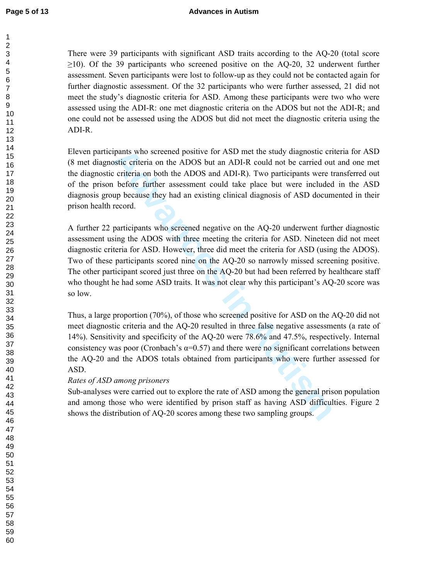## **Page 5 of 13 Advances in Autism**

There were 39 participants with significant ASD traits according to the AQ-20 (total score  $\geq$ 10). Of the 39 participants who screened positive on the AQ-20, 32 underwent further assessment. Seven participants were lost to follow-up as they could not be contacted again for further diagnostic assessment. Of the 32 participants who were further assessed, 21 did not meet the study's diagnostic criteria for ASD. Among these participants were two who were assessed using the ADI-R: one met diagnostic criteria on the ADOS but not the ADI-R; and one could not be assessed using the ADOS but did not meet the diagnostic criteria using the ADI-R.

Eleven participants who screened positive for ASD met the study diagnostic criteria for ASD (8 met diagnostic criteria on the ADOS but an ADI-R could not be carried out and one met the diagnostic criteria on both the ADOS and ADI-R). Two participants were transferred out of the prison before further assessment could take place but were included in the ASD diagnosis group because they had an existing clinical diagnosis of ASD documented in their prison health record.

ipants who screened positive for ASD met the study diagnostic cristic criteria on the ADOS but an ADI-R could not be carried out criteria on both the ADOS and ADI-R). Two participants were the offer further assessment coul A further 22 participants who screened negative on the AQ-20 underwent further diagnostic assessment using the ADOS with three meeting the criteria for ASD. Nineteen did not meet diagnostic criteria for ASD. However, three did meet the criteria for ASD (using the ADOS). Two of these participants scored nine on the AQ-20 so narrowly missed screening positive. The other participant scored just three on the AQ-20 but had been referred by healthcare staff who thought he had some ASD traits. It was not clear why this participant's AQ-20 score was so low.

Thus, a large proportion (70%), of those who screened positive for ASD on the AQ-20 did not meet diagnostic criteria and the AQ-20 resulted in three false negative assessments (a rate of 14%). Sensitivity and specificity of the AQ-20 were 78.6% and 47.5%, respectively. Internal consistency was poor (Cronbach's  $\alpha$ =0.57) and there were no significant correlations between the AQ-20 and the ADOS totals obtained from participants who were further assessed for ASD.

# *Rates of ASD among prisoners*

Sub-analyses were carried out to explore the rate of ASD among the general prison population and among those who were identified by prison staff as having ASD difficulties. Figure 2 shows the distribution of AQ-20 scores among these two sampling groups.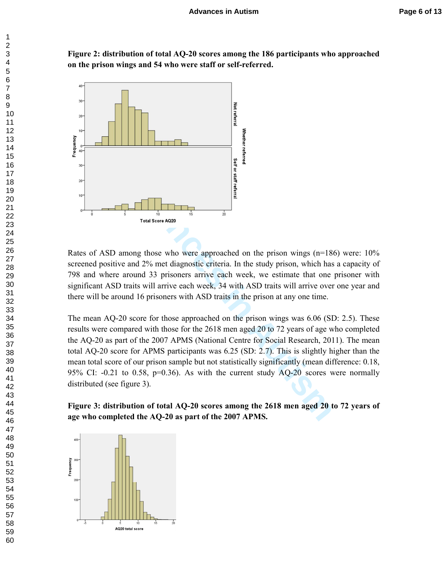**Figure 2: distribution of total AQ-20 scores among the 186 participants who approached on the prison wings and 54 who were staff or self-referred.** 



Rates of ASD among those who were approached on the prison wings (n=186) were: 10% screened positive and 2% met diagnostic criteria. In the study prison, which has a capacity of 798 and where around 33 prisoners arrive each week, we estimate that one prisoner with significant ASD traits will arrive each week, 34 with ASD traits will arrive over one year and there will be around 16 prisoners with ASD traits in the prison at any one time.

**A**<br> **A**<br> **A**<br> **Advances in Authority Considers in the series access in the series access in the series access in the state of the prison wings (n=18<br>
it is an 2% met diagnostic criteria. In the study prison, which has<br>
t** The mean AQ-20 score for those approached on the prison wings was 6.06 (SD: 2.5). These results were compared with those for the 2618 men aged 20 to 72 years of age who completed the AQ-20 as part of the 2007 APMS (National Centre for Social Research, 2011). The mean total AQ-20 score for APMS participants was 6.25 (SD: 2.7). This is slightly higher than the mean total score of our prison sample but not statistically significantly (mean difference: 0.18, 95% CI: -0.21 to 0.58, p=0.36). As with the current study AQ-20 scores were normally distributed (see figure 3).

**Figure 3: distribution of total AQ-20 scores among the 2618 men aged 20 to 72 years of age who completed the AQ-20 as part of the 2007 APMS.** 

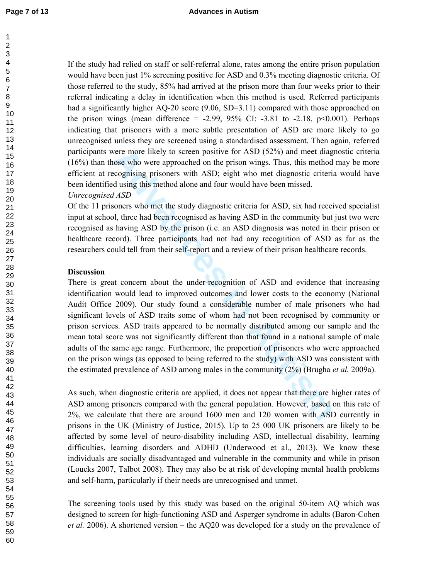#### **Page 7 of 13 Advances in Autism**

59 60 If the study had relied on staff or self-referral alone, rates among the entire prison population would have been just 1% screening positive for ASD and 0.3% meeting diagnostic criteria. Of those referred to the study, 85% had arrived at the prison more than four weeks prior to their referral indicating a delay in identification when this method is used. Referred participants had a significantly higher AQ-20 score (9.06, SD=3.11) compared with those approached on the prison wings (mean difference  $= -2.99, 95\%$  CI:  $-3.81$  to  $-2.18, p<0.001$ ). Perhaps indicating that prisoners with a more subtle presentation of ASD are more likely to go unrecognised unless they are screened using a standardised assessment. Then again, referred participants were more likely to screen positive for ASD (52%) and meet diagnostic criteria (16%) than those who were approached on the prison wings. Thus, this method may be more efficient at recognising prisoners with ASD; eight who met diagnostic criteria would have been identified using this method alone and four would have been missed.

# *Unrecognised ASD*

Of the 11 prisoners who met the study diagnostic criteria for ASD, six had received specialist input at school, three had been recognised as having ASD in the community but just two were recognised as having ASD by the prison (i.e. an ASD diagnosis was noted in their prison or healthcare record). Three participants had not had any recognition of ASD as far as the researchers could tell from their self-report and a review of their prison healthcare records.

#### **Discussion**

were more likely to screen positive for ASD (52%) and meet diag<br>nose who were approached on the prison wings. Thus, this method<br>ecognising prisoners with ASD; eight who met diagnostic criteria<br>d using this method alone and There is great concern about the under-recognition of ASD and evidence that increasing identification would lead to improved outcomes and lower costs to the economy (National Audit Office 2009). Our study found a considerable number of male prisoners who had significant levels of ASD traits some of whom had not been recognised by community or prison services. ASD traits appeared to be normally distributed among our sample and the mean total score was not significantly different than that found in a national sample of male adults of the same age range. Furthermore, the proportion of prisoners who were approached on the prison wings (as opposed to being referred to the study) with ASD was consistent with the estimated prevalence of ASD among males in the community (2%) (Brugha *et al.* 2009a).

As such, when diagnostic criteria are applied, it does not appear that there are higher rates of ASD among prisoners compared with the general population. However, based on this rate of 2%, we calculate that there are around 1600 men and 120 women with ASD currently in prisons in the UK (Ministry of Justice, 2015). Up to 25 000 UK prisoners are likely to be affected by some level of neuro-disability including ASD, intellectual disability, learning difficulties, learning disorders and ADHD (Underwood et al., 2013). We know these individuals are socially disadvantaged and vulnerable in the community and while in prison (Loucks 2007, Talbot 2008). They may also be at risk of developing mental health problems and self-harm, particularly if their needs are unrecognised and unmet.

The screening tools used by this study was based on the original 50-item AQ which was designed to screen for high-functioning ASD and Asperger syndrome in adults (Baron-Cohen *et al.* 2006). A shortened version – the AQ20 was developed for a study on the prevalence of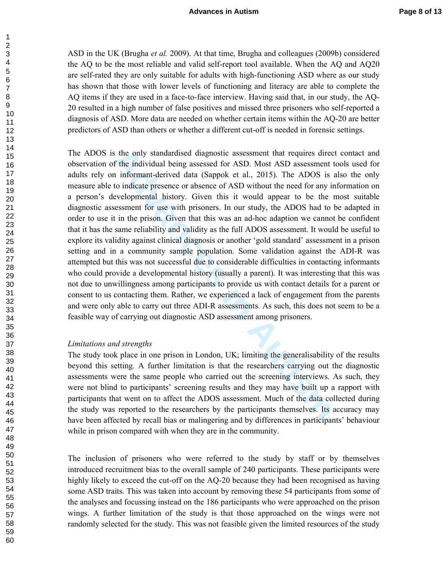ASD in the UK (Brugha *et al.* 2009). At that time, Brugha and colleagues (2009b) considered the AQ to be the most reliable and valid self-report tool available. When the AQ and AQ20 are self-rated they are only suitable for adults with high-functioning ASD where as our study has shown that those with lower levels of functioning and literacy are able to complete the AQ items if they are used in a face-to-face interview. Having said that, in our study, the AQ-20 resulted in a high number of false positives and missed three prisoners who self-reported a diagnosis of ASD. More data are needed on whether certain items within the AQ-20 are better predictors of ASD than others or whether a different cut-off is needed in forensic settings.

s the only standardised diagnostic assessment that requires direct<br>of the individual being assessed for ASD. Most ASD assessment<br>in informant-derived data (Sappok et al., 2015). The ADOS is<br>to indicate presence or absence The ADOS is the only standardised diagnostic assessment that requires direct contact and observation of the individual being assessed for ASD. Most ASD assessment tools used for adults rely on informant-derived data (Sappok et al., 2015). The ADOS is also the only measure able to indicate presence or absence of ASD without the need for any information on a person's developmental history. Given this it would appear to be the most suitable diagnostic assessment for use with prisoners. In our study, the ADOS had to be adapted in order to use it in the prison. Given that this was an ad-hoc adaption we cannot be confident that it has the same reliability and validity as the full ADOS assessment. It would be useful to explore its validity against clinical diagnosis or another 'gold standard' assessment in a prison setting and in a community sample population. Some validation against the ADI-R was attempted but this was not successful due to considerable difficulties in contacting informants who could provide a developmental history (usually a parent). It was interesting that this was not due to unwillingness among participants to provide us with contact details for a parent or consent to us contacting them. Rather, we experienced a lack of engagement from the parents and were only able to carry out three ADI-R assessments. As such, this does not seem to be a feasible way of carrying out diagnostic ASD assessment among prisoners.

#### *Limitations and strengths*

The study took place in one prison in London, UK; limiting the generalisability of the results beyond this setting. A further limitation is that the researchers carrying out the diagnostic assessments were the same people who carried out the screening interviews. As such, they were not blind to participants' screening results and they may have built up a rapport with participants that went on to affect the ADOS assessment. Much of the data collected during the study was reported to the researchers by the participants themselves. Its accuracy may have been affected by recall bias or malingering and by differences in participants' behaviour while in prison compared with when they are in the community.

The inclusion of prisoners who were referred to the study by staff or by themselves introduced recruitment bias to the overall sample of 240 participants. These participants were highly likely to exceed the cut-off on the AQ-20 because they had been recognised as having some ASD traits. This was taken into account by removing these 54 participants from some of the analyses and focussing instead on the 186 participants who were approached on the prison wings. A further limitation of the study is that those approached on the wings were not randomly selected for the study. This was not feasible given the limited resources of the study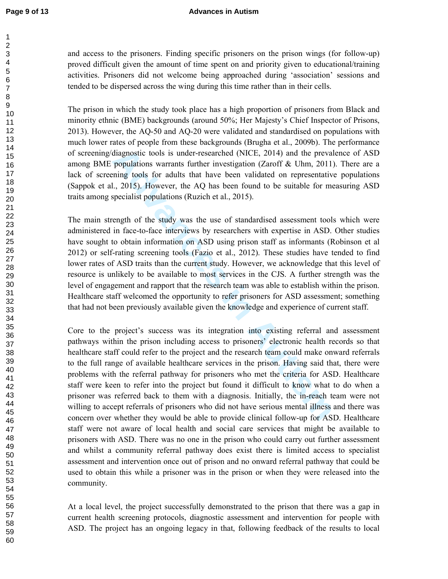# **Page 9 of 13 Advances in Autism**

and access to the prisoners. Finding specific prisoners on the prison wings (for follow-up) proved difficult given the amount of time spent on and priority given to educational/training activities. Prisoners did not welcome being approached during 'association' sessions and tended to be dispersed across the wing during this time rather than in their cells.

The prison in which the study took place has a high proportion of prisoners from Black and minority ethnic (BME) backgrounds (around 50%; Her Majesty's Chief Inspector of Prisons, 2013). However, the AQ-50 and AQ-20 were validated and standardised on populations with much lower rates of people from these backgrounds (Brugha et al., 2009b). The performance of screening/diagnostic tools is under-researched (NICE, 2014) and the prevalence of ASD among BME populations warrants further investigation (Zaroff & Uhm, 2011). There are a lack of screening tools for adults that have been validated on representative populations (Sappok et al., 2015). However, the AQ has been found to be suitable for measuring ASD traits among specialist populations (Ruzich et al., 2015).

diagnostic tools is under-researched (NICE, 2014) and the preval<br>populations warrants further investigation (Zaroff & Uhm, 2011)<br>rining tools for adults that have been validated on representativ<br>l., 2015). However, the AQ The main strength of the study was the use of standardised assessment tools which were administered in face-to-face interviews by researchers with expertise in ASD. Other studies have sought to obtain information on ASD using prison staff as informants (Robinson et al 2012) or self-rating screening tools (Fazio et al., 2012). These studies have tended to find lower rates of ASD traits than the current study. However, we acknowledge that this level of resource is unlikely to be available to most services in the CJS. A further strength was the level of engagement and rapport that the research team was able to establish within the prison. Healthcare staff welcomed the opportunity to refer prisoners for ASD assessment; something that had not been previously available given the knowledge and experience of current staff.

Core to the project's success was its integration into existing referral and assessment pathways within the prison including access to prisoners' electronic health records so that healthcare staff could refer to the project and the research team could make onward referrals to the full range of available healthcare services in the prison. Having said that, there were problems with the referral pathway for prisoners who met the criteria for ASD. Healthcare staff were keen to refer into the project but found it difficult to know what to do when a prisoner was referred back to them with a diagnosis. Initially, the in-reach team were not willing to accept referrals of prisoners who did not have serious mental illness and there was concern over whether they would be able to provide clinical follow-up for ASD. Healthcare staff were not aware of local health and social care services that might be available to prisoners with ASD. There was no one in the prison who could carry out further assessment and whilst a community referral pathway does exist there is limited access to specialist assessment and intervention once out of prison and no onward referral pathway that could be used to obtain this while a prisoner was in the prison or when they were released into the community.

At a local level, the project successfully demonstrated to the prison that there was a gap in current health screening protocols, diagnostic assessment and intervention for people with ASD. The project has an ongoing legacy in that, following feedback of the results to local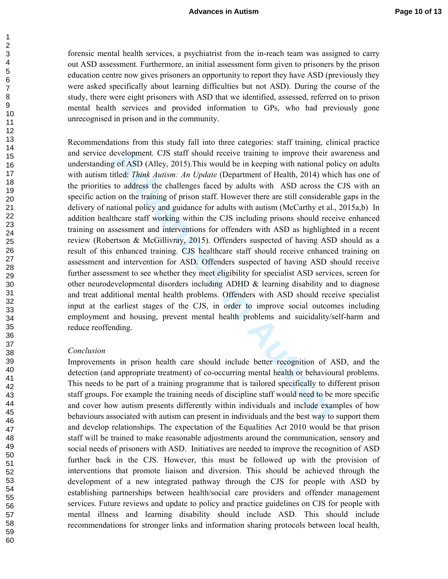forensic mental health services, a psychiatrist from the in-reach team was assigned to carry out ASD assessment. Furthermore, an initial assessment form given to prisoners by the prison education centre now gives prisoners an opportunity to report they have ASD (previously they were asked specifically about learning difficulties but not ASD). During the course of the study, there were eight prisoners with ASD that we identified, assessed, referred on to prison mental health services and provided information to GPs, who had previously gone unrecognised in prison and in the community.

levelopment. CJS staff should receive training to improve their a g of ASD (Alley, 2015).This would be in keeping with national po<br>itled: *Think Autism: An Update* (Department of Health, 2014) whi<br>to address the challenges Recommendations from this study fall into three categories: staff training, clinical practice and service development. CJS staff should receive training to improve their awareness and understanding of ASD (Alley, 2015).This would be in keeping with national policy on adults with autism titled: *Think Autism: An Update* (Department of Health, 2014) which has one of the priorities to address the challenges faced by adults with ASD across the CJS with an specific action on the training of prison staff. However there are still considerable gaps in the delivery of national policy and guidance for adults with autism (McCarthy et al., 2015a,b) In addition healthcare staff working within the CJS including prisons should receive enhanced training on assessment and interventions for offenders with ASD as highlighted in a recent review (Robertson & McGillivray, 2015). Offenders suspected of having ASD should as a result of this enhanced training. CJS healthcare staff should receive enhanced training on assessment and intervention for ASD. Offenders suspected of having ASD should receive further assessment to see whether they meet eligibility for specialist ASD services, screen for other neurodevelopmental disorders including ADHD  $\&$  learning disability and to diagnose and treat additional mental health problems. Offenders with ASD should receive specialist input at the earliest stages of the CJS, in order to improve social outcomes including employment and housing, prevent mental health problems and suicidality/self-harm and reduce reoffending.

#### *Conclusion*

Improvements in prison health care should include better recognition of ASD, and the detection (and appropriate treatment) of co-occurring mental health or behavioural problems. This needs to be part of a training programme that is tailored specifically to different prison staff groups. For example the training needs of discipline staff would need to be more specific and cover how autism presents differently within individuals and include examples of how behaviours associated with autism can present in individuals and the best way to support them and develop relationships. The expectation of the Equalities Act 2010 would be that prison staff will be trained to make reasonable adjustments around the communication, sensory and social needs of prisoners with ASD. Initiatives are needed to improve the recognition of ASD further back in the CJS. However, this must be followed up with the provision of interventions that promote liaison and diversion. This should be achieved through the development of a new integrated pathway through the CJS for people with ASD by establishing partnerships between health/social care providers and offender management services. Future reviews and update to policy and practice guidelines on CJS for people with mental illness and learning disability should include ASD. This should include recommendations for stronger links and information sharing protocols between local health,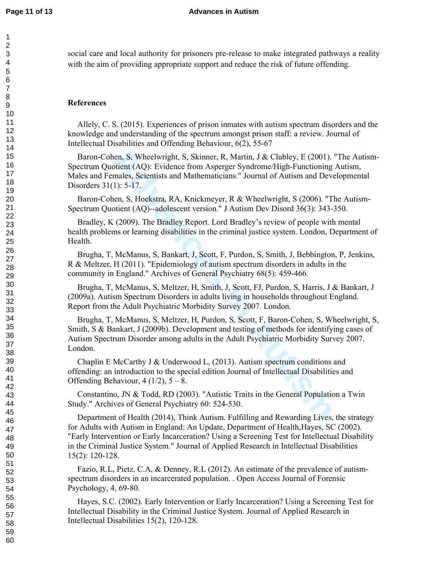social care and local authority for prisoners pre-release to make integrated pathways a reality with the aim of providing appropriate support and reduce the risk of future offending.

### **References**

Allely, C. S. (2015). Experiences of prison inmates with autism spectrum disorders and the knowledge and understanding of the spectrum amongst prison staff: a review. Journal of Intellectual Disabilities and Offending Behaviour, 6(2), 55-67

**EXECTS WERENT ASSET ANTIFY ANDEL SET AN AUTHAM SCRED TO THE SET AND TO SOLUT AND SURVENTION THEON (AQ): Evidence from Asperger Syndrome/High-Functioning males, Scientists and Mathematicians." Journal of Autism and Develop** Baron-Cohen, S, Wheelwright, S, Skinner, R, Martin, J & Clubley, E (2001). "The Autism-Spectrum Quotient (AQ): Evidence from Asperger Syndrome/High-Functioning Autism, Males and Females, Scientists and Mathematicians." Journal of Autism and Developmental Disorders 31(1): 5-17.

Baron-Cohen, S, Hoekstra, RA, Knickmeyer, R & Wheelwright, S (2006). "The Autism-Spectrum Quotient (AQ)--adolescent version." J Autism Dev Disord 36(3): 343-350.

Bradley, K (2009). The Bradley Report. Lord Bradley's review of people with mental health problems or learning disabilities in the criminal justice system. London, Department of Health.

Brugha, T, McManus, S, Bankart, J, Scott, F, Purdon, S, Smith, J, Bebbington, P, Jenkins, R & Meltzer, H (2011). "Epidemiology of autism spectrum disorders in adults in the community in England." Archives of General Psychiatry 68(5): 459-466.

Brugha, T, McManus, S, Meltzer, H, Smith, J, Scott, FJ, Purdon, S, Harris, J & Bankart, J (2009a). Autism Spectrum Disorders in adults living in households throughout England. Report from the Adult Psychiatric Morbidity Survey 2007. London.

Brugha, T, McManus, S, Meltzer, H, Purdon, S, Scott, F, Baron-Cohen, S, Wheelwright, S, Smith, S & Bankart, J (2009b). Development and testing of methods for identifying cases of Autism Spectrum Disorder among adults in the Adult Psychiatric Morbidity Survey 2007. London.

Chaplin E McCarthy J & Underwood L, (2013). Autism spectrum conditions and offending: an introduction to the special edition Journal of Intellectual Disabilities and Offending Behaviour,  $4(1/2)$ ,  $5-8$ .

Constantino, JN & Todd, RD (2003). "Autistic Traits in the General Population a Twin Study." Archives of General Psychiatry 60: 524-530.

Department of Health (2014), Think Autism. Fulfilling and Rewarding Lives, the strategy for Adults with Autism in England: An Update, Department of Health,Hayes, SC (2002). "Early Intervention or Early Incarceration? Using a Screening Test for Intellectual Disability in the Criminal Justice System." Journal of Applied Research in Intellectual Disabilities 15(2): 120-128.

Fazio, R.L, Pietz, C.A, & Denney, R.L (2012). An estimate of the prevalence of autismspectrum disorders in an incarcerated population. . Open Access Journal of Forensic Psychology, 4, 69-80.

Hayes, S.C. (2002). Early Intervention or Early Incarceration? Using a Screening Test for Intellectual Disability in the Criminal Justice System. Journal of Applied Research in Intellectual Disabilities 15(2), 120-128.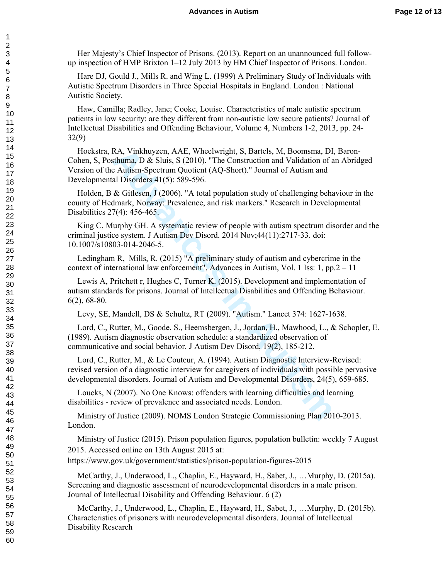Her Majesty's Chief Inspector of Prisons. (2013). Report on an unannounced full followup inspection of HMP Brixton 1–12 July 2013 by HM Chief Inspector of Prisons. London.

Hare DJ, Gould J., Mills R. and Wing L. (1999) A Preliminary Study of Individuals with Autistic Spectrum Disorders in Three Special Hospitals in England. London : National Autistic Society.

Haw, Camilla; Radley, Jane; Cooke, Louise. Characteristics of male autistic spectrum patients in low security: are they different from non-autistic low secure patients? Journal of Intellectual Disabilities and Offending Behaviour, Volume 4, Numbers 1-2, 2013, pp. 24- 32(9)

RA, Vinkhuyzen, AAE, Wheelwright, S, Bartels, M, Boomsma, DI<br>
sthuma, D. & Sluis, S (2010). "The Construction and Validation of a<br>
e Autism-Spectrum Quotient (AQ-Short)." Journal of Autism and<br>
al Disorders 41(5): 589-596. Hoekstra, RA, Vinkhuyzen, AAE, Wheelwright, S, Bartels, M, Boomsma, DI, Baron-Cohen, S, Posthuma, D & Sluis, S (2010). "The Construction and Validation of an Abridged Version of the Autism-Spectrum Quotient (AQ-Short)." Journal of Autism and Developmental Disorders 41(5): 589-596.

Holden, B & Gitlesen, J (2006). "A total population study of challenging behaviour in the county of Hedmark, Norway: Prevalence, and risk markers." Research in Developmental Disabilities 27(4): 456-465.

King C, Murphy GH. A systematic review of people with autism spectrum disorder and the criminal justice system. J Autism Dev Disord. 2014 Nov;44(11):2717-33. doi: 10.1007/s10803-014-2046-5.

Ledingham R, Mills, R. (2015) "A preliminary study of autism and cybercrime in the context of international law enforcement", Advances in Autism, Vol. 1 Iss: 1, pp.2 – 11

Lewis A, Pritchett r, Hughes C, Turner K. (2015). Development and implementation of autism standards for prisons. Journal of Intellectual Disabilities and Offending Behaviour. 6(2), 68-80.

Levy, SE, Mandell, DS & Schultz, RT (2009). "Autism." Lancet 374: 1627-1638.

Lord, C., Rutter, M., Goode, S., Heemsbergen, J., Jordan, H., Mawhood, L., & Schopler, E. (1989). Autism diagnostic observation schedule: a standardized observation of communicative and social behavior. J Autism Dev Disord, 19(2), 185-212.

Lord, C., Rutter, M., & Le Couteur, A. (1994). Autism Diagnostic Interview-Revised: revised version of a diagnostic interview for caregivers of individuals with possible pervasive developmental disorders. Journal of Autism and Developmental Disorders, 24(5), 659-685.

Loucks, N (2007). No One Knows: offenders with learning difficulties and learning disabilities - review of prevalence and associated needs. London.

Ministry of Justice (2009). NOMS London Strategic Commissioning Plan 2010-2013. London.

Ministry of Justice (2015). Prison population figures, population bulletin: weekly 7 August 2015. Accessed online on 13th August 2015 at:

https://www.gov.uk/government/statistics/prison-population-figures-2015

McCarthy, J., Underwood, L., Chaplin, E., Hayward, H., Sabet, J., …Murphy, D. (2015a). Screening and diagnostic assessment of neurodevelopmental disorders in a male prison. Journal of Intellectual Disability and Offending Behaviour. 6 (2)

McCarthy, J., Underwood, L., Chaplin, E., Hayward, H., Sabet, J., …Murphy, D. (2015b). Characteristics of prisoners with neurodevelopmental disorders. Journal of Intellectual Disability Research

1